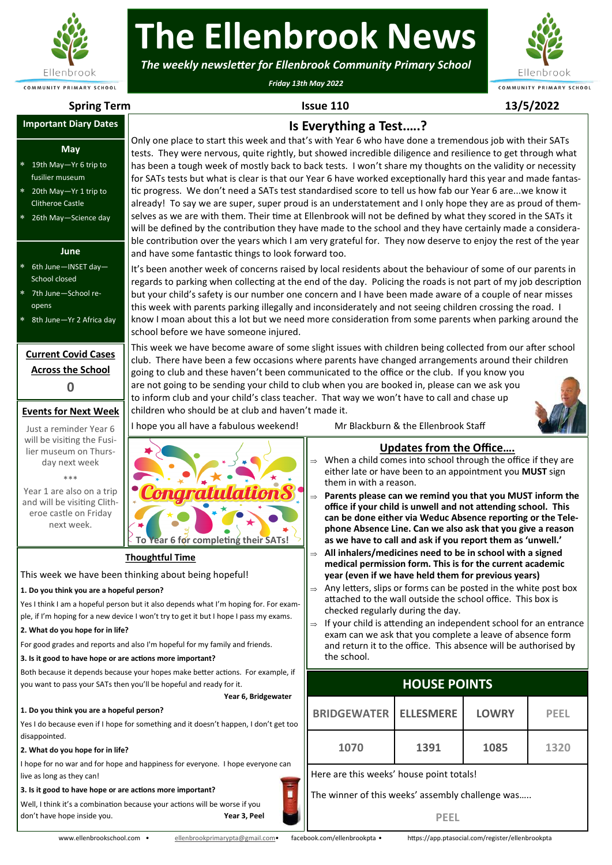

# **The Ellenbrook News**

*The weekly newsletter for Ellenbrook Community Primary School*

*Friday 13th May 2022*



#### **Important Diary Dates**

#### **May**

- 19th May—Yr 6 trip to fusilier museum
- 20th May—Yr 1 trip to Clitheroe Castle
- 26th May—Science day

### **June**

- 6th June—INSET day— School closed
- 7th June—School reopens
- 8th June—Yr 2 Africa day

# **Current Covid Cases Across the School 0**

## **Events for Next Week**

| Just a reminder Year 6     |
|----------------------------|
| will be visiting the Fusi- |
| lier museum on Thurs-      |
| day next week              |
| ***                        |

Year 1 are also on a trip and will be visiting Clitheroe castle on Friday next week.

**Spring Term Issue 110 13/5/2022**

# **Is Everything a Test.….?**

Only one place to start this week and that's with Year 6 who have done a tremendous job with their SATs tests. They were nervous, quite rightly, but showed incredible diligence and resilience to get through what has been a tough week of mostly back to back tests. I won't share my thoughts on the validity or necessity for SATs tests but what is clear is that our Year 6 have worked exceptionally hard this year and made fantastic progress. We don't need a SATs test standardised score to tell us how fab our Year 6 are...we know it already! To say we are super, super proud is an understatement and I only hope they are as proud of themselves as we are with them. Their time at Ellenbrook will not be defined by what they scored in the SATs it will be defined by the contribution they have made to the school and they have certainly made a considerable contribution over the years which I am very grateful for. They now deserve to enjoy the rest of the year and have some fantastic things to look forward too.

It's been another week of concerns raised by local residents about the behaviour of some of our parents in regards to parking when collecting at the end of the day. Policing the roads is not part of my job description but your child's safety is our number one concern and I have been made aware of a couple of near misses this week with parents parking illegally and inconsiderately and not seeing children crossing the road. I know I moan about this a lot but we need more consideration from some parents when parking around the school before we have someone injured.

This week we have become aware of some slight issues with children being collected from our after school club. There have been a few occasions where parents have changed arrangements around their children going to club and these haven't been communicated to the office or the club. If you know you are not going to be sending your child to club when you are booked in, please can we ask you to inform club and your child's class teacher. That way we won't have to call and chase up



I hope you all have a fabulous weekend! Mr Blackburn & the Ellenbrook Staff

# **Updates from the Office….**

- When a child comes into school through the office if they are either late or have been to an appointment you **MUST** sign them in with a reason.
- **Parents please can we remind you that you MUST inform the office if your child is unwell and not attending school. This can be done either via Weduc Absence reporting or the Telephone Absence Line. Can we also ask that you give a reason as we have to call and ask if you report them as 'unwell.'**
- **All inhalers/medicines need to be in school with a signed medical permission form. This is for the current academic year (even if we have held them for previous years)**
- Any letters, slips or forms can be posted in the white post box attached to the wall outside the school office. This box is checked regularly during the day.
- $\Rightarrow$  If your child is attending an independent school for an entrance exam can we ask that you complete a leave of absence form and return it to the office. This absence will be authorised by the school.

# **HOUSE POINTS**

| To Year 6 for completing their SATs!                                                                                                                                                                                    | as we have to call and ask if you report them as 'unwell.'                                                                                                                                                                                                                                                                                                                                                                                                                      |                  |              |             |  |
|-------------------------------------------------------------------------------------------------------------------------------------------------------------------------------------------------------------------------|---------------------------------------------------------------------------------------------------------------------------------------------------------------------------------------------------------------------------------------------------------------------------------------------------------------------------------------------------------------------------------------------------------------------------------------------------------------------------------|------------------|--------------|-------------|--|
| <u>oughtful Time</u>                                                                                                                                                                                                    | All inhalers/medicines need to be in school with a signed<br>$\Rightarrow$<br>medical permission form. This is for the current academic                                                                                                                                                                                                                                                                                                                                         |                  |              |             |  |
| nking about being hopeful!<br>person?<br>ut it also depends what I'm hoping for. For exam-<br>I won't try to get it but I hope I pass my exams.<br>Iso I'm hopeful for my family and friends.<br>ctions more important? | year (even if we have held them for previous years)<br>Any letters, slips or forms can be posted in the white post box<br>$\Rightarrow$<br>attached to the wall outside the school office. This box is<br>checked regularly during the day.<br>If your child is attending an independent school for an entrance<br>$\Rightarrow$<br>exam can we ask that you complete a leave of absence form<br>and return it to the office. This absence will be authorised by<br>the school. |                  |              |             |  |
| our hopes make better actions. For example, if<br>ou'll be hopeful and ready for it.                                                                                                                                    | <b>HOUSE POINTS</b>                                                                                                                                                                                                                                                                                                                                                                                                                                                             |                  |              |             |  |
| Year 6, Bridgewater<br>person?<br>something and it doesn't happen, I don't get too                                                                                                                                      | <b>BRIDGEWATER</b>                                                                                                                                                                                                                                                                                                                                                                                                                                                              | <b>ELLESMERE</b> | <b>LOWRY</b> | <b>PEEL</b> |  |
|                                                                                                                                                                                                                         | 1070                                                                                                                                                                                                                                                                                                                                                                                                                                                                            | 1391             | 1085         | 1320        |  |
|                                                                                                                                                                                                                         |                                                                                                                                                                                                                                                                                                                                                                                                                                                                                 |                  |              |             |  |
| I happiness for everyone. I hope everyone can                                                                                                                                                                           | Here are this weeks' house point totals!                                                                                                                                                                                                                                                                                                                                                                                                                                        |                  |              |             |  |
| ctions more important?<br>ause your actions will be worse if you                                                                                                                                                        | The winner of this weeks' assembly challenge was                                                                                                                                                                                                                                                                                                                                                                                                                                |                  |              |             |  |

ainen. **Thoughtful Time** This week we have been thinking about being hopeful! **1. Do you think you are a hopeful person?** Yes I think I am a hopeful person but it also depends what I'm hoping for. For example, if I'm hoping for a new device I won't try to get it but I hope I pass my exams. **2. What do you hope for in life?** For good grades and reports and also I'm hopeful for my family and friends.

#### **3. Is it good to have hope or are actions more important?**

Both because it depends because your hopes make better actions. For example, if you want to pass your SATs then you'll be hopeful and ready for it.

children who should be at club and haven't made it.

#### **1. Do you think you are a hopeful person?**

Yes I do because even if I hope for something and it doesn't happen, I don't get too disappointed.

#### **2. What do you hope for in life?**

I hope for no war and for hope and happiness for everyone. I hope everyone can live as long as they can!

#### **3. Is it good to have hope or are actions more important?**

Well, I think it's a combination because your actions will be worse if you don't have hope inside you. **Year 3, Peel**